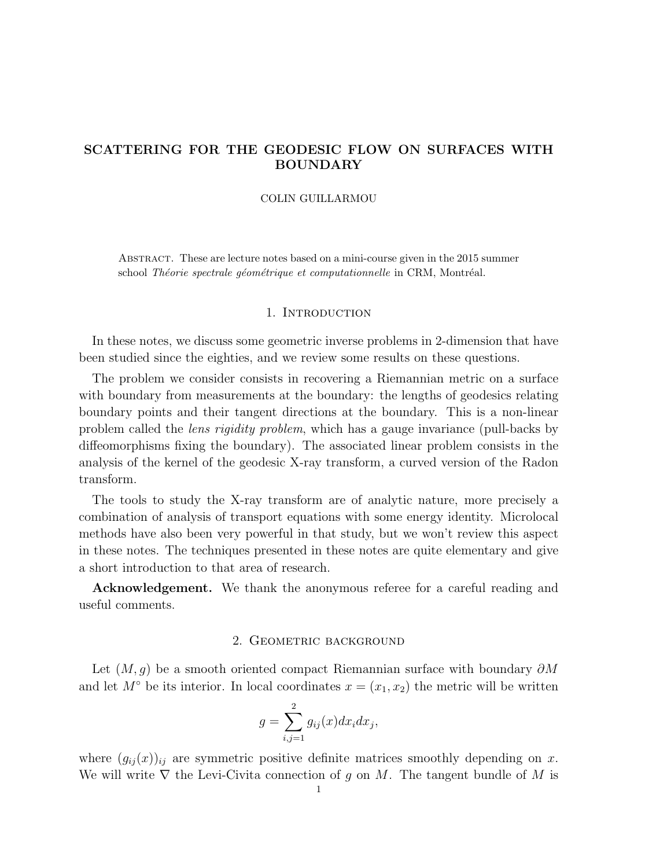# SCATTERING FOR THE GEODESIC FLOW ON SURFACES WITH BOUNDARY

## COLIN GUILLARMOU

Abstract. These are lecture notes based on a mini-course given in the 2015 summer school Théorie spectrale géométrique et computationnelle in CRM, Montréal.

# 1. INTRODUCTION

In these notes, we discuss some geometric inverse problems in 2-dimension that have been studied since the eighties, and we review some results on these questions.

The problem we consider consists in recovering a Riemannian metric on a surface with boundary from measurements at the boundary: the lengths of geodesics relating boundary points and their tangent directions at the boundary. This is a non-linear problem called the lens rigidity problem, which has a gauge invariance (pull-backs by diffeomorphisms fixing the boundary). The associated linear problem consists in the analysis of the kernel of the geodesic X-ray transform, a curved version of the Radon transform.

The tools to study the X-ray transform are of analytic nature, more precisely a combination of analysis of transport equations with some energy identity. Microlocal methods have also been very powerful in that study, but we won't review this aspect in these notes. The techniques presented in these notes are quite elementary and give a short introduction to that area of research.

Acknowledgement. We thank the anonymous referee for a careful reading and useful comments.

# 2. GEOMETRIC BACKGROUND

Let  $(M, q)$  be a smooth oriented compact Riemannian surface with boundary  $\partial M$ and let  $M^{\circ}$  be its interior. In local coordinates  $x = (x_1, x_2)$  the metric will be written

$$
g = \sum_{i,j=1}^{2} g_{ij}(x) dx_i dx_j,
$$

where  $(g_{ij}(x))_{ij}$  are symmetric positive definite matrices smoothly depending on x. We will write  $\nabla$  the Levi-Civita connection of g on M. The tangent bundle of M is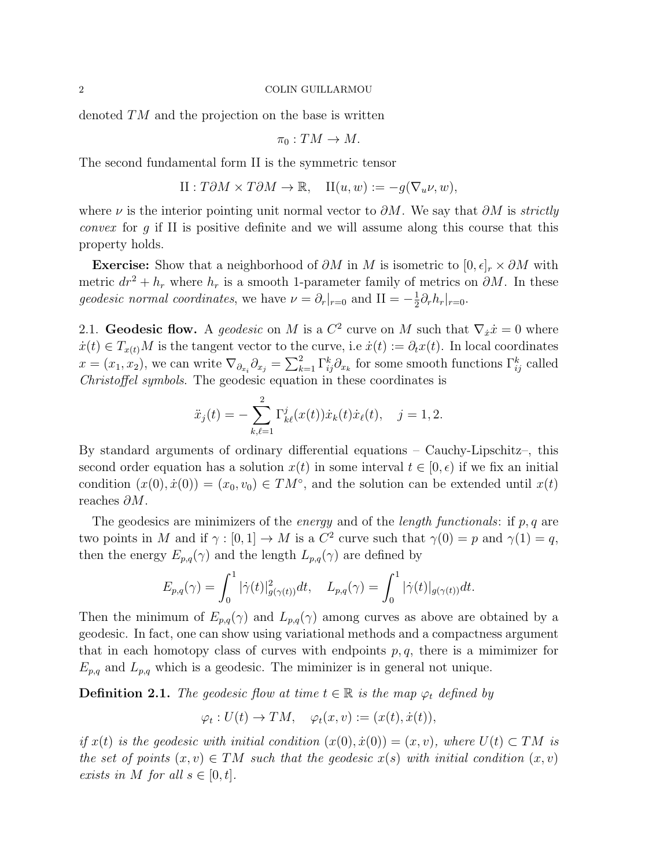denoted TM and the projection on the base is written

$$
\pi_0:TM\to M.
$$

The second fundamental form II is the symmetric tensor

$$
II: T\partial M \times T\partial M \to \mathbb{R}, \quad II(u, w) := -g(\nabla_u \nu, w),
$$

where  $\nu$  is the interior pointing unit normal vector to  $\partial M$ . We say that  $\partial M$  is *strictly* convex for g if II is positive definite and we will assume along this course that this property holds.

**Exercise:** Show that a neighborhood of  $\partial M$  in M is isometric to  $[0, \epsilon]_r \times \partial M$  with metric  $dr^2 + h_r$  where  $h_r$  is a smooth 1-parameter family of metrics on  $\partial M$ . In these geodesic normal coordinates, we have  $\nu = \partial_r|_{r=0}$  and  $II = -\frac{1}{2}$  $\frac{1}{2}\partial_r h_r|_{r=0}$ .

2.1. Geodesic flow. A geodesic on M is a  $C^2$  curve on M such that  $\nabla_{\dot{x}}\dot{x} = 0$  where  $\dot{x}(t) \in T_{x(t)}M$  is the tangent vector to the curve, i.e  $\dot{x}(t) := \partial_t x(t)$ . In local coordinates  $x = (x_1, x_2)$ , we can write  $\nabla_{\partial_{x_i}} \partial_{x_j} = \sum_{k=1}^2 \Gamma_{ij}^k \partial_{x_k}$  for some smooth functions  $\Gamma_{ij}^k$  called Christoffel symbols. The geodesic equation in these coordinates is

$$
\ddot{x}_j(t) = -\sum_{k,\ell=1}^2 \Gamma_{k\ell}^j(x(t)) \dot{x}_k(t) \dot{x}_\ell(t), \quad j = 1, 2.
$$

By standard arguments of ordinary differential equations – Cauchy-Lipschitz–, this second order equation has a solution  $x(t)$  in some interval  $t \in [0, \epsilon)$  if we fix an initial condition  $(x(0), \dot{x}(0)) = (x_0, v_0) \in TM^{\circ}$ , and the solution can be extended until  $x(t)$ reaches ∂M.

The geodesics are minimizers of the *energy* and of the *length functionals*: if  $p, q$  are two points in M and if  $\gamma : [0,1] \to M$  is a  $C^2$  curve such that  $\gamma(0) = p$  and  $\gamma(1) = q$ , then the energy  $E_{p,q}(\gamma)$  and the length  $L_{p,q}(\gamma)$  are defined by

$$
E_{p,q}(\gamma) = \int_0^1 |\dot{\gamma}(t)|^2_{g(\gamma(t))} dt, \quad L_{p,q}(\gamma) = \int_0^1 |\dot{\gamma}(t)|_{g(\gamma(t))} dt.
$$

Then the minimum of  $E_{p,q}(\gamma)$  and  $L_{p,q}(\gamma)$  among curves as above are obtained by a geodesic. In fact, one can show using variational methods and a compactness argument that in each homotopy class of curves with endpoints  $p, q$ , there is a mimimizer for  $E_{p,q}$  and  $L_{p,q}$  which is a geodesic. The miminizer is in general not unique.

**Definition 2.1.** The geodesic flow at time  $t \in \mathbb{R}$  is the map  $\varphi_t$  defined by

$$
\varphi_t: U(t) \to TM, \quad \varphi_t(x, v) := (x(t), \dot{x}(t)),
$$

if  $x(t)$  is the geodesic with initial condition  $(x(0), \dot{x}(0)) = (x, v)$ , where  $U(t) \subset TM$  is the set of points  $(x, v) \in TM$  such that the geodesic  $x(s)$  with initial condition  $(x, v)$ exists in M for all  $s \in [0, t]$ .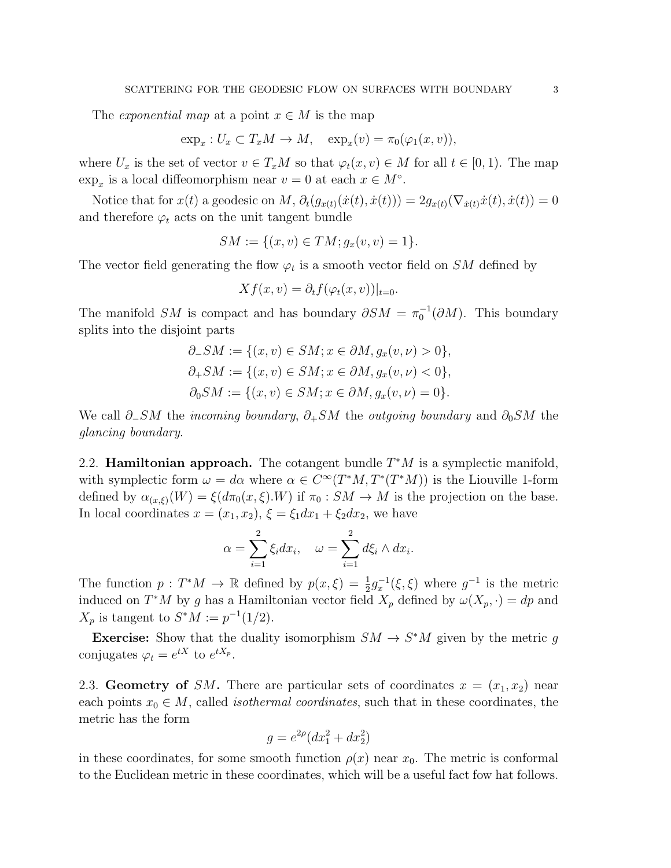The *exponential map* at a point  $x \in M$  is the map

$$
\exp_x: U_x \subset T_x M \to M, \quad \exp_x(v) = \pi_0(\varphi_1(x, v)),
$$

where  $U_x$  is the set of vector  $v \in T_xM$  so that  $\varphi_t(x, v) \in M$  for all  $t \in [0, 1)$ . The map  $\exp_x$  is a local diffeomorphism near  $v = 0$  at each  $x \in M^{\circ}$ .

Notice that for  $x(t)$  a geodesic on  $M$ ,  $\partial_t(g_{x(t)}(\dot{x}(t), \dot{x}(t))) = 2g_{x(t)}(\nabla_{\dot{x}(t)}\dot{x}(t), \dot{x}(t)) = 0$ and therefore  $\varphi_t$  acts on the unit tangent bundle

$$
SM := \{(x, v) \in TM; g_x(v, v) = 1\}.
$$

The vector field generating the flow  $\varphi_t$  is a smooth vector field on SM defined by

$$
Xf(x,v) = \partial_t f(\varphi_t(x,v))|_{t=0}.
$$

The manifold SM is compact and has boundary  $\partial SM = \pi_0^{-1}(\partial M)$ . This boundary splits into the disjoint parts

$$
\partial_- SM := \{ (x, v) \in SM; x \in \partial M, g_x(v, \nu) > 0 \}, \n\partial_+ SM := \{ (x, v) \in SM; x \in \partial M, g_x(v, \nu) < 0 \}, \n\partial_0 SM := \{ (x, v) \in SM; x \in \partial M, g_x(v, \nu) = 0 \}.
$$

We call  $\partial$ -SM the incoming boundary,  $\partial$ +SM the outgoing boundary and  $\partial_0$ SM the glancing boundary.

2.2. **Hamiltonian approach.** The cotangent bundle  $T^*M$  is a symplectic manifold, with symplectic form  $\omega = d\alpha$  where  $\alpha \in C^{\infty}(T^{*}M, T^{*}(T^{*}M))$  is the Liouville 1-form defined by  $\alpha_{(x,\xi)}(W) = \xi(d\pi_0(x,\xi).W)$  if  $\pi_0: SM \to M$  is the projection on the base. In local coordinates  $x = (x_1, x_2), \xi = \xi_1 dx_1 + \xi_2 dx_2$ , we have

$$
\alpha = \sum_{i=1}^{2} \xi_i dx_i, \quad \omega = \sum_{i=1}^{2} d\xi_i \wedge dx_i.
$$

The function  $p: T^*M \to \mathbb{R}$  defined by  $p(x,\xi) = \frac{1}{2}g_x^{-1}(\xi,\xi)$  where  $g^{-1}$  is the metric induced on  $T^*M$  by g has a Hamiltonian vector field  $X_p$  defined by  $\omega(X_p, \cdot) = dp$  and  $X_p$  is tangent to  $S^*M := p^{-1}(1/2)$ .

**Exercise:** Show that the duality isomorphism  $SM \to S^*M$  given by the metric g conjugates  $\varphi_t = e^{tX}$  to  $e^{tX_p}$ .

<span id="page-2-0"></span>2.3. Geometry of SM. There are particular sets of coordinates  $x = (x_1, x_2)$  near each points  $x_0 \in M$ , called *isothermal coordinates*, such that in these coordinates, the metric has the form

$$
g = e^{2\rho} (dx_1^2 + dx_2^2)
$$

in these coordinates, for some smooth function  $\rho(x)$  near  $x_0$ . The metric is conformal to the Euclidean metric in these coordinates, which will be a useful fact fow hat follows.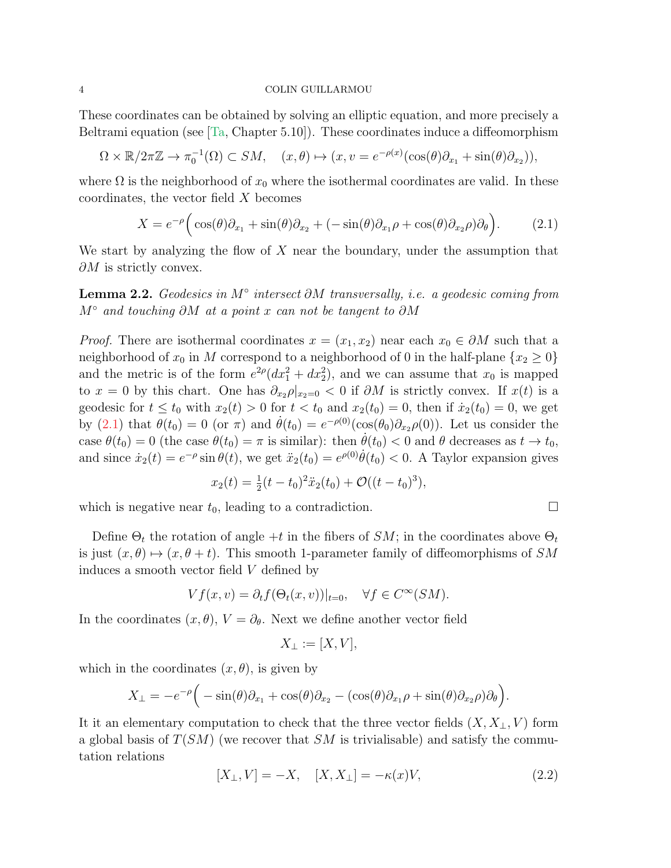These coordinates can be obtained by solving an elliptic equation, and more precisely a Beltrami equation (see  $[T_a, Chapter 5.10]$ ). These coordinates induce a diffeomorphism

$$
\Omega \times \mathbb{R}/2\pi\mathbb{Z} \to \pi_0^{-1}(\Omega) \subset SM, \quad (x,\theta) \mapsto (x,v = e^{-\rho(x)}(\cos(\theta)\partial_{x_1} + \sin(\theta)\partial_{x_2})),
$$

where  $\Omega$  is the neighborhood of  $x_0$  where the isothermal coordinates are valid. In these coordinates, the vector field X becomes

<span id="page-3-0"></span>
$$
X = e^{-\rho} \Big( \cos(\theta) \partial_{x_1} + \sin(\theta) \partial_{x_2} + (-\sin(\theta) \partial_{x_1} \rho + \cos(\theta) \partial_{x_2} \rho) \partial_{\theta} \Big). \tag{2.1}
$$

We start by analyzing the flow of  $X$  near the boundary, under the assumption that  $\partial M$  is strictly convex.

**Lemma 2.2.** Geodesics in  $M^\circ$  intersect  $\partial M$  transversally, i.e. a geodesic coming from  $M$ ° and touching ∂M at a point x can not be tangent to ∂M

*Proof.* There are isothermal coordinates  $x = (x_1, x_2)$  near each  $x_0 \in \partial M$  such that a neighborhood of  $x_0$  in M correspond to a neighborhood of 0 in the half-plane  $\{x_2 \geq 0\}$ and the metric is of the form  $e^{2\rho}(dx_1^2 + dx_2^2)$ , and we can assume that  $x_0$  is mapped to  $x = 0$  by this chart. One has  $\partial_{x_2} \rho |_{x_2=0} < 0$  if  $\partial M$  is strictly convex. If  $x(t)$  is a geodesic for  $t \leq t_0$  with  $x_2(t) > 0$  for  $t < t_0$  and  $x_2(t_0) = 0$ , then if  $\dot{x}_2(t_0) = 0$ , we get by [\(2.1\)](#page-3-0) that  $\theta(t_0) = 0$  (or  $\pi$ ) and  $\dot{\theta}(t_0) = e^{-\rho(0)}(\cos(\theta_0)\partial_{x_2}\rho(0))$ . Let us consider the case  $\theta(t_0) = 0$  (the case  $\theta(t_0) = \pi$  is similar): then  $\dot{\theta}(t_0) < 0$  and  $\theta$  decreases as  $t \to t_0$ , and since  $\dot{x}_2(t) = e^{-\rho} \sin \theta(t)$ , we get  $\ddot{x}_2(t_0) = e^{\rho(0)} \dot{\theta}(t_0) < 0$ . A Taylor expansion gives

$$
x_2(t) = \frac{1}{2}(t - t_0)^2 \ddot{x}_2(t_0) + \mathcal{O}((t - t_0)^3),
$$

which is negative near  $t_0$ , leading to a contradiction.

Define  $\Theta_t$  the rotation of angle +t in the fibers of SM; in the coordinates above  $\Theta_t$ is just  $(x, \theta) \mapsto (x, \theta + t)$ . This smooth 1-parameter family of diffeomorphisms of SM induces a smooth vector field V defined by

$$
Vf(x,v) = \partial_t f(\Theta_t(x,v))|_{t=0}, \quad \forall f \in C^\infty(SM).
$$

In the coordinates  $(x, \theta), V = \partial_{\theta}$ . Next we define another vector field

$$
X_{\perp} := [X, V],
$$

which in the coordinates  $(x, \theta)$ , is given by

$$
X_{\perp} = -e^{-\rho} \Big( -\sin(\theta)\partial_{x_1} + \cos(\theta)\partial_{x_2} - (\cos(\theta)\partial_{x_1}\rho + \sin(\theta)\partial_{x_2}\rho)\partial_{\theta} \Big).
$$

It it an elementary computation to check that the three vector fields  $(X, X_{\perp}, V)$  form a global basis of  $T(SM)$  (we recover that  $SM$  is trivialisable) and satisfy the commutation relations

<span id="page-3-1"></span>
$$
[X_{\perp}, V] = -X, \quad [X, X_{\perp}] = -\kappa(x)V,\tag{2.2}
$$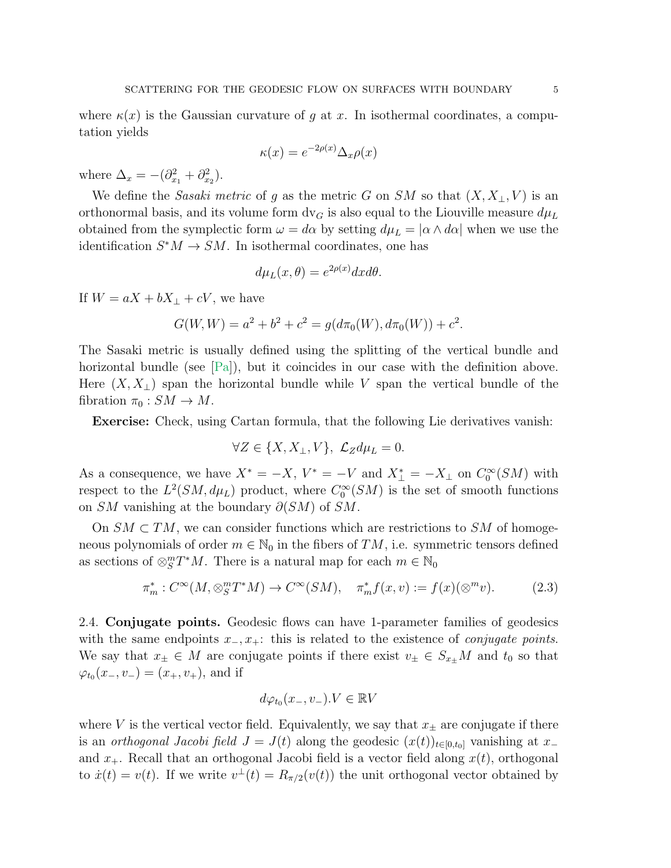where  $\kappa(x)$  is the Gaussian curvature of g at x. In isothermal coordinates, a computation yields

$$
\kappa(x) = e^{-2\rho(x)} \Delta_x \rho(x)
$$

where  $\Delta_x = -(\partial_{x_1}^2 + \partial_{x_2}^2)$ .

We define the Sasaki metric of g as the metric G on SM so that  $(X, X_{\perp}, V)$  is an orthonormal basis, and its volume form  $dv_G$  is also equal to the Liouville measure  $d\mu_L$ obtained from the symplectic form  $\omega = d\alpha$  by setting  $d\mu = |\alpha \wedge d\alpha|$  when we use the identification  $S^*M \to SM$ . In isothermal coordinates, one has

$$
d\mu_L(x,\theta) = e^{2\rho(x)}dx d\theta.
$$

If  $W = aX + bX_{\perp} + cV$ , we have

$$
G(W, W) = a2 + b2 + c2 = g(d\pi0(W), d\pi0(W)) + c2.
$$

The Sasaki metric is usually defined using the splitting of the vertical bundle and horizontal bundle (see [\[Pa\]](#page-19-0)), but it coincides in our case with the definition above. Here  $(X, X_{\perp})$  span the horizontal bundle while V span the vertical bundle of the fibration  $\pi_0 : SM \to M$ .

Exercise: Check, using Cartan formula, that the following Lie derivatives vanish:

$$
\forall Z \in \{X, X_{\perp}, V\}, \ \mathcal{L}_Z d\mu_L = 0.
$$

As a consequence, we have  $X^* = -X$ ,  $V^* = -V$  and  $X^*_{\perp} = -X_{\perp}$  on  $C_0^{\infty}(SM)$  with respect to the  $L^2(SM, d\mu_L)$  product, where  $C_0^{\infty}(SM)$  is the set of smooth functions on SM vanishing at the boundary  $\partial(SM)$  of SM.

On  $SM \subset TM$ , we can consider functions which are restrictions to SM of homogeneous polynomials of order  $m \in \mathbb{N}_0$  in the fibers of  $TM$ , i.e. symmetric tensors defined as sections of  $\otimes_S^m T^*M$ . There is a natural map for each  $m \in \mathbb{N}_0$ 

<span id="page-4-0"></span>
$$
\pi_m^*: C^\infty(M, \otimes_S^m T^*M) \to C^\infty(SM), \quad \pi_m^* f(x, v) := f(x)(\otimes^m v). \tag{2.3}
$$

2.4. Conjugate points. Geodesic flows can have 1-parameter families of geodesics with the same endpoints  $x_-, x_+$ : this is related to the existence of *conjugate points*. We say that  $x_{\pm} \in M$  are conjugate points if there exist  $v_{\pm} \in S_{x_{\pm}}M$  and  $t_0$  so that  $\varphi_{t_0}(x_-, v_-) = (x_+, v_+),$  and if

$$
d\varphi_{t_0}(x_-,v_-).V \in \mathbb{R}V
$$

where V is the vertical vector field. Equivalently, we say that  $x_{\pm}$  are conjugate if there is an *orthogonal Jacobi field*  $J = J(t)$  along the geodesic  $(x(t))_{t\in[0,t_0]}$  vanishing at x<sub>−</sub> and  $x_+$ . Recall that an orthogonal Jacobi field is a vector field along  $x(t)$ , orthogonal to  $\dot{x}(t) = v(t)$ . If we write  $v^{\perp}(t) = R_{\pi/2}(v(t))$  the unit orthogonal vector obtained by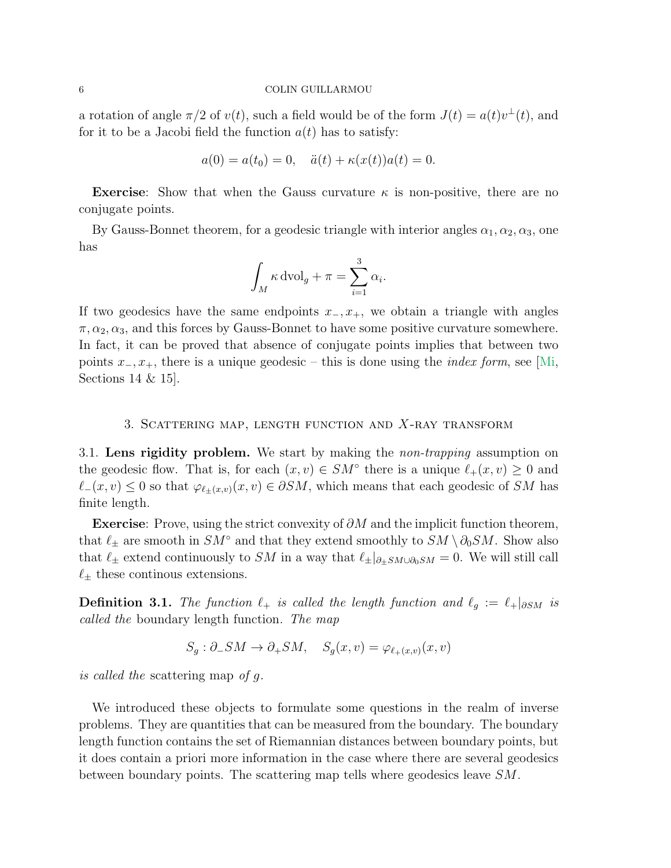a rotation of angle  $\pi/2$  of  $v(t)$ , such a field would be of the form  $J(t) = a(t)v^{\perp}(t)$ , and for it to be a Jacobi field the function  $a(t)$  has to satisfy:

$$
a(0) = a(t_0) = 0
$$
,  $\ddot{a}(t) + \kappa(x(t))a(t) = 0$ .

**Exercise:** Show that when the Gauss curvature  $\kappa$  is non-positive, there are no conjugate points.

By Gauss-Bonnet theorem, for a geodesic triangle with interior angles  $\alpha_1, \alpha_2, \alpha_3$ , one has

$$
\int_M \kappa \, \mathrm{dvol}_g + \pi = \sum_{i=1}^3 \alpha_i.
$$

If two geodesics have the same endpoints  $x_-, x_+$ , we obtain a triangle with angles  $\pi, \alpha_2, \alpha_3$ , and this forces by Gauss-Bonnet to have some positive curvature somewhere. In fact, it can be proved that absence of conjugate points implies that between two points  $x_-, x_+$ , there is a unique geodesic – this is done using the *index form*, see [\[Mi,](#page-19-1) Sections 14 & 15].

# 3. SCATTERING MAP, LENGTH FUNCTION AND  $X$ -RAY TRANSFORM

3.1. Lens rigidity problem. We start by making the non-trapping assumption on the geodesic flow. That is, for each  $(x, v) \in SM^{\circ}$  there is a unique  $\ell_+(x, v) \geq 0$  and  $\ell_-(x, v) \leq 0$  so that  $\varphi_{\ell_+(x, v)}(x, v) \in \partial SM$ , which means that each geodesic of SM has finite length.

Exercise: Prove, using the strict convexity of  $\partial M$  and the implicit function theorem, that  $\ell_{\pm}$  are smooth in  $SM^{\circ}$  and that they extend smoothly to  $SM \setminus \partial_0 SM$ . Show also that  $\ell_{\pm}$  extend continuously to SM in a way that  $\ell_{\pm}|_{\partial_{\pm}SM\cup\partial_{0}SM} = 0$ . We will still call  $\ell_{\pm}$  these continous extensions.

**Definition 3.1.** The function  $\ell_+$  is called the length function and  $\ell_q := \ell_+|_{\partial SM}$  is called the boundary length function. The map

 $S_q : \partial_- SM \to \partial_+ SM, \quad S_q(x, v) = \varphi_{\ell_+(x, v)}(x, v)$ 

is called the scattering map of g.

We introduced these objects to formulate some questions in the realm of inverse problems. They are quantities that can be measured from the boundary. The boundary length function contains the set of Riemannian distances between boundary points, but it does contain a priori more information in the case where there are several geodesics between boundary points. The scattering map tells where geodesics leave SM.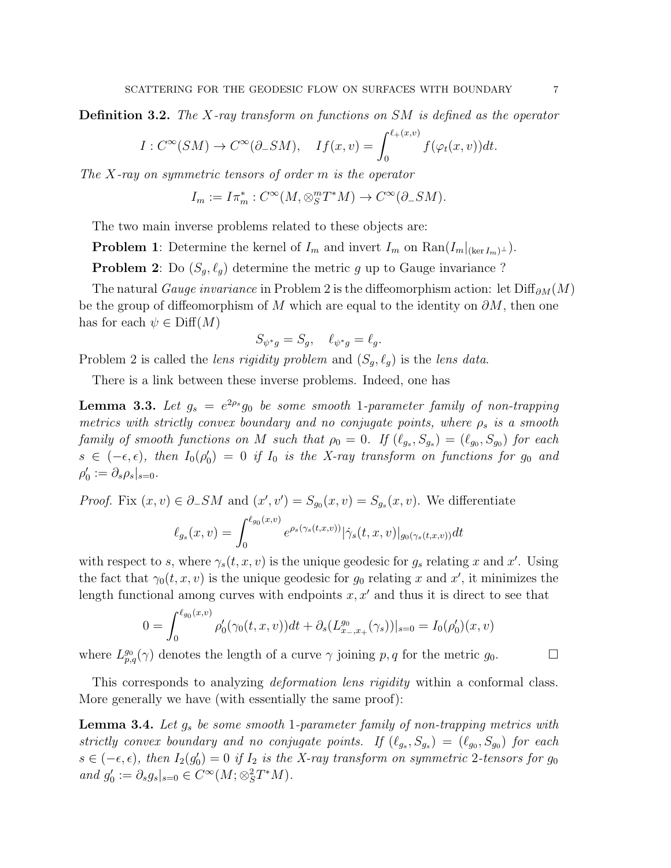**Definition 3.2.** The X-ray transform on functions on SM is defined as the operator

$$
I: C^{\infty}(SM) \to C^{\infty}(\partial_- SM), \quad If(x, v) = \int_0^{\ell_+(x, v)} f(\varphi_t(x, v)) dt.
$$

The  $X$ -ray on symmetric tensors of order  $m$  is the operator

$$
I_m := I \pi_m^* : C^\infty(M, \otimes_S^m T^*M) \to C^\infty(\partial_- SM).
$$

The two main inverse problems related to these objects are:

**Problem 1:** Determine the kernel of  $I_m$  and invert  $I_m$  on  $\text{Ran}(I_m|_{(\text{ker }I_m)^{\perp}})$ .

**Problem 2**: Do  $(S_g, \ell_g)$  determine the metric g up to Gauge invariance?

The natural *Gauge invariance* in Problem 2 is the diffeomorphism action: let  $\text{Diff}_{\partial M}(M)$ be the group of diffeomorphism of M which are equal to the identity on  $\partial M$ , then one has for each  $\psi \in \text{Diff}(M)$ 

$$
S_{\psi^*g} = S_g, \quad \ell_{\psi^*g} = \ell_g.
$$

Problem 2 is called the *lens rigidity problem* and  $(S_q, \ell_q)$  is the *lens data*.

There is a link between these inverse problems. Indeed, one has

**Lemma 3.3.** Let  $g_s = e^{2\rho_s}g_0$  be some smooth 1-parameter family of non-trapping metrics with strictly convex boundary and no conjugate points, where  $\rho_s$  is a smooth family of smooth functions on M such that  $\rho_0 = 0$ . If  $(\ell_{g_s}, S_{g_s}) = (\ell_{g_0}, S_{g_0})$  for each  $s \in (-\epsilon, \epsilon)$ , then  $I_0(\rho'_0) = 0$  if  $I_0$  is the X-ray transform on functions for  $g_0$  and  $\rho'_0 := \partial_s \rho_s |_{s=0}.$ 

*Proof.* Fix  $(x, v) \in \partial_- SM$  and  $(x', v') = S_{g_0}(x, v) = S_{g_s}(x, v)$ . We differentiate  $\ell_{g_s}(x,v) = \int^{\ell_{g_0}(x,v)}$ 0  $e^{\rho_s(\gamma_s(t,x,v))}|\dot\gamma_s(t,x,v)|_{g_0(\gamma_s(t,x,v))}dt$ 

with respect to s, where  $\gamma_s(t, x, v)$  is the unique geodesic for  $g_s$  relating x and x'. Using the fact that  $\gamma_0(t, x, v)$  is the unique geodesic for  $g_0$  relating x and x', it minimizes the length functional among curves with endpoints  $x, x'$  and thus it is direct to see that

$$
0 = \int_0^{\ell_{g_0}(x,v)} \rho'_0(\gamma_0(t,x,v))dt + \partial_s(L_{x-,x_+}^{g_0}(\gamma_s))|_{s=0} = I_0(\rho'_0)(x,v)
$$

where  $L_{p,q}^{g_0}(\gamma)$  denotes the length of a curve  $\gamma$  joining p, q for the metric  $g_0$ .

This corresponds to analyzing *deformation lens rigidity* within a conformal class. More generally we have (with essentially the same proof):

<span id="page-6-0"></span>**Lemma 3.4.** Let  $g_s$  be some smooth 1-parameter family of non-trapping metrics with strictly convex boundary and no conjugate points. If  $(\ell_{g_s}, S_{g_s}) = (\ell_{g_0}, S_{g_0})$  for each  $s \in (-\epsilon, \epsilon)$ , then  $I_2(g_0') = 0$  if  $I_2$  is the X-ray transform on symmetric 2-tensors for  $g_0$ and  $g'_0 := \partial_s g_s|_{s=0} \in C^\infty(M; \otimes_S^2 T^*M)$ .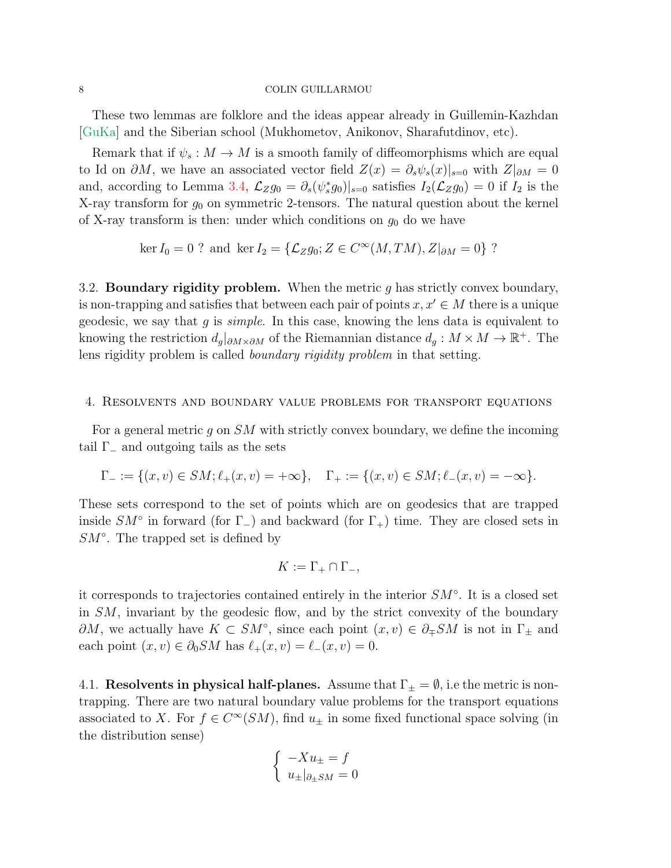These two lemmas are folklore and the ideas appear already in Guillemin-Kazhdan [\[GuKa\]](#page-19-2) and the Siberian school (Mukhometov, Anikonov, Sharafutdinov, etc).

Remark that if  $\psi_s : M \to M$  is a smooth family of diffeomorphisms which are equal to Id on  $\partial M$ , we have an associated vector field  $Z(x) = \partial_s \psi_s(x)|_{s=0}$  with  $Z|_{\partial M} = 0$ and, according to Lemma [3.4,](#page-6-0)  $\mathcal{L}_Z g_0 = \partial_s(\psi_s^* g_0)|_{s=0}$  satisfies  $I_2(\mathcal{L}_Z g_0) = 0$  if  $I_2$  is the X-ray transform for  $g_0$  on symmetric 2-tensors. The natural question about the kernel of X-ray transform is then: under which conditions on  $g_0$  do we have

$$
\ker I_0 = 0
$$
? and  $\ker I_2 = {\mathcal{L}}_Z g_0; Z \in C^{\infty}(M, TM), Z|_{\partial M} = 0$ ?

3.2. **Boundary rigidity problem.** When the metric  $g$  has strictly convex boundary, is non-trapping and satisfies that between each pair of points  $x, x' \in M$  there is a unique geodesic, we say that  $g$  is *simple*. In this case, knowing the lens data is equivalent to knowing the restriction  $d_g|_{\partial M \times \partial M}$  of the Riemannian distance  $d_g : M \times M \to \mathbb{R}^+$ . The lens rigidity problem is called boundary rigidity problem in that setting.

## 4. Resolvents and boundary value problems for transport equations

For a general metric g on SM with strictly convex boundary, we define the incoming tail  $\Gamma_-\$  and outgoing tails as the sets

$$
\Gamma_{-} := \{(x, v) \in SM; \ell_{+}(x, v) = +\infty\}, \quad \Gamma_{+} := \{(x, v) \in SM; \ell_{-}(x, v) = -\infty\}.
$$

These sets correspond to the set of points which are on geodesics that are trapped inside  $SM^{\circ}$  in forward (for  $\Gamma_{-}$ ) and backward (for  $\Gamma_{+}$ ) time. They are closed sets in  $SM<sup>°</sup>$ . The trapped set is defined by

$$
K := \Gamma_+ \cap \Gamma_-,
$$

it corresponds to trajectories contained entirely in the interior SM◦ . It is a closed set in SM, invariant by the geodesic flow, and by the strict convexity of the boundary  $\partial M$ , we actually have  $K \subset SM^{\circ}$ , since each point  $(x, v) \in \partial_{\mp} SM$  is not in  $\Gamma_{\pm}$  and each point  $(x, v) \in \partial_0 SM$  has  $\ell_+(x, v) = \ell_-(x, v) = 0$ .

4.1. Resolvents in physical half-planes. Assume that  $\Gamma_{\pm} = \emptyset$ , i.e the metric is nontrapping. There are two natural boundary value problems for the transport equations associated to X. For  $f \in C^{\infty}(SM)$ , find  $u_{\pm}$  in some fixed functional space solving (in the distribution sense)

$$
\begin{cases}\n-Xu_{\pm} = f \\
u_{\pm}|_{\partial_{\pm}SM} = 0\n\end{cases}
$$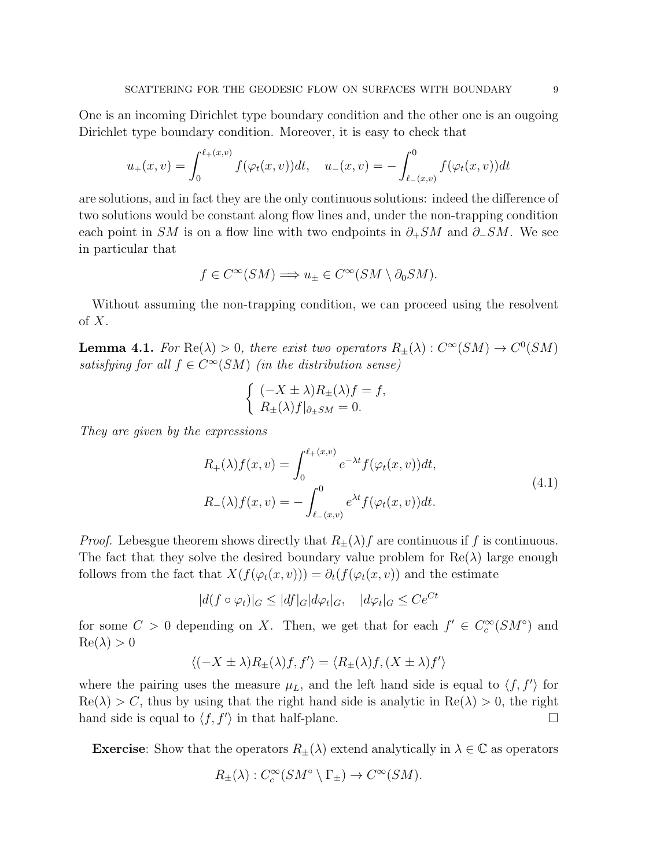One is an incoming Dirichlet type boundary condition and the other one is an ougoing Dirichlet type boundary condition. Moreover, it is easy to check that

$$
u_{+}(x,v) = \int_{0}^{\ell_{+}(x,v)} f(\varphi_{t}(x,v))dt, \quad u_{-}(x,v) = -\int_{\ell_{-}(x,v)}^{0} f(\varphi_{t}(x,v))dt
$$

are solutions, and in fact they are the only continuous solutions: indeed the difference of two solutions would be constant along flow lines and, under the non-trapping condition each point in SM is on a flow line with two endpoints in  $\partial_+SM$  and  $\partial_-SM$ . We see in particular that

$$
f \in C^{\infty}(SM) \Longrightarrow u_{\pm} \in C^{\infty}(SM \setminus \partial_0 SM).
$$

Without assuming the non-trapping condition, we can proceed using the resolvent of  $X$ .

**Lemma 4.1.** For  $\text{Re}(\lambda) > 0$ , there exist two operators  $R_{\pm}(\lambda) : C^{\infty}(SM) \to C^{0}(SM)$ satisfying for all  $f \in C^{\infty}(SM)$  (in the distribution sense)

$$
\begin{cases} (-X \pm \lambda) R_{\pm}(\lambda) f = f, \\ R_{\pm}(\lambda) f|_{\partial_{\pm} SM} = 0. \end{cases}
$$

They are given by the expressions

<span id="page-8-0"></span>
$$
R_{+}(\lambda)f(x,v) = \int_{0}^{\ell_{+}(x,v)} e^{-\lambda t} f(\varphi_{t}(x,v)) dt,
$$
  
\n
$$
R_{-}(\lambda)f(x,v) = -\int_{\ell_{-}(x,v)}^{0} e^{\lambda t} f(\varphi_{t}(x,v)) dt.
$$
\n(4.1)

*Proof.* Lebesgue theorem shows directly that  $R_{\pm}(\lambda)f$  are continuous if f is continuous. The fact that they solve the desired boundary value problem for  $\text{Re}(\lambda)$  large enough follows from the fact that  $X(f(\varphi_t(x, v))) = \partial_t(f(\varphi_t(x, v))$  and the estimate

$$
|d(f \circ \varphi_t)|_G \le |df|_G |d\varphi_t|_G, \quad |d\varphi_t|_G \le Ce^{Ct}
$$

for some  $C > 0$  depending on X. Then, we get that for each  $f' \in C_c^{\infty}(SM^{\circ})$  and  $Re(\lambda) > 0$ 

$$
\langle (-X\pm\lambda)R_{\pm}(\lambda)f,f'\rangle=\langle R_{\pm}(\lambda)f,(X\pm\lambda)f'\rangle
$$

where the pairing uses the measure  $\mu_L$ , and the left hand side is equal to  $\langle f, f' \rangle$  for  $\text{Re}(\lambda) > C$ , thus by using that the right hand side is analytic in  $\text{Re}(\lambda) > 0$ , the right hand side is equal to  $\langle f, f' \rangle$  in that half-plane.

**Exercise:** Show that the operators  $R_{\pm}(\lambda)$  extend analytically in  $\lambda \in \mathbb{C}$  as operators

$$
R_{\pm}(\lambda) : C_c^{\infty}(SM^{\circ} \setminus \Gamma_{\pm}) \to C^{\infty}(SM).
$$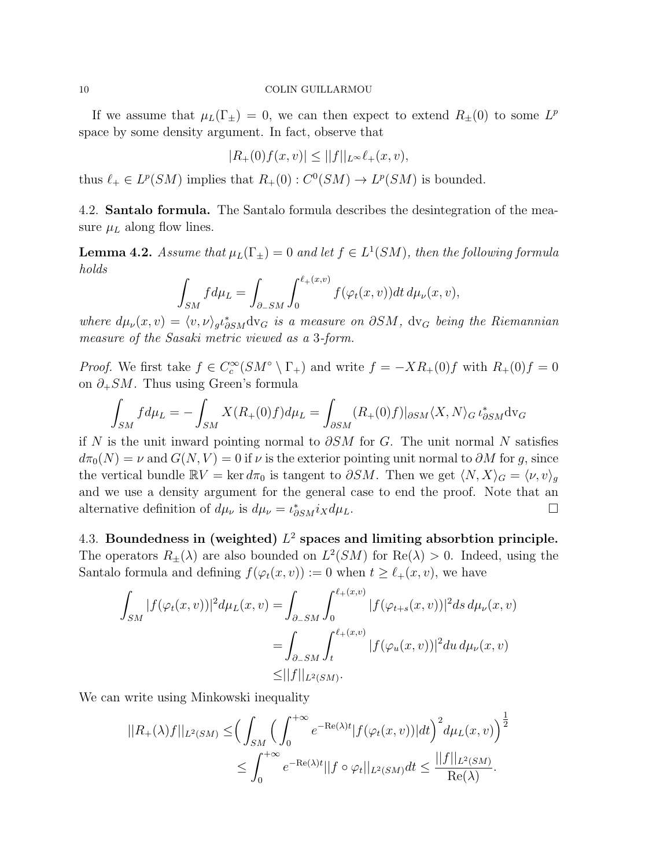If we assume that  $\mu_L(\Gamma_{\pm}) = 0$ , we can then expect to extend  $R_{\pm}(0)$  to some  $L^p$ space by some density argument. In fact, observe that

$$
|R_+(0)f(x,v)| \le ||f||_{L^{\infty}} \ell_+(x,v),
$$

thus  $\ell_+ \in L^p(SM)$  implies that  $R_+(0) : C^0(SM) \to L^p(SM)$  is bounded.

4.2. Santalo formula. The Santalo formula describes the desintegration of the measure  $\mu_L$  along flow lines.

**Lemma 4.2.** Assume that  $\mu_L(\Gamma_{\pm}) = 0$  and let  $f \in L^1(SM)$ , then the following formula holds

$$
\int_{SM} f d\mu_L = \int_{\partial_- SM} \int_0^{\ell_+(x,v)} f(\varphi_t(x,v)) dt d\mu_\nu(x,v),
$$

where  $d\mu_{\nu}(x,v) = \langle v, \nu \rangle_{g} \iota_{\partial SM}^{*} dv_{G}$  is a measure on  $\partial SM$ , dv<sub>G</sub> being the Riemannian measure of the Sasaki metric viewed as a 3-form.

*Proof.* We first take  $f \in C_c^{\infty}(SM^{\circ} \setminus \Gamma_+)$  and write  $f = -XR_+(0)f$  with  $R_+(0)f = 0$ on  $\partial_+SM$ . Thus using Green's formula

$$
\int_{SM} f d\mu_L = -\int_{SM} X(R_+(0)f) d\mu_L = \int_{\partial SM} (R_+(0)f)|_{\partial SM} \langle X, N \rangle_G \iota_{\partial SM}^* d\mathrm{v}_G
$$

if N is the unit inward pointing normal to  $\partial SM$  for G. The unit normal N satisfies  $d\pi_0(N) = \nu$  and  $G(N, V) = 0$  if  $\nu$  is the exterior pointing unit normal to  $\partial M$  for g, since the vertical bundle  $\mathbb{R}V = \ker d\pi_0$  is tangent to  $\partial SM$ . Then we get  $\langle N, X \rangle_G = \langle \nu, v \rangle_g$ and we use a density argument for the general case to end the proof. Note that an alternative definition of  $d\mu_{\nu}$  is  $d\mu_{\nu} = \iota_{\partial SM}^* i_X d\mu_L$ .

4.3. Boundedness in (weighted)  $L^2$  spaces and limiting absorbtion principle. The operators  $R_{\pm}(\lambda)$  are also bounded on  $L^2(SM)$  for  $\text{Re}(\lambda) > 0$ . Indeed, using the Santalo formula and defining  $f(\varphi_t(x, v)) := 0$  when  $t \geq \ell_+(x, v)$ , we have

$$
\int_{SM} |f(\varphi_t(x,v))|^2 d\mu_L(x,v) = \int_{\partial_- SM} \int_0^{\ell_+(x,v)} |f(\varphi_{t+s}(x,v))|^2 ds d\mu_{\nu}(x,v)
$$
  
= 
$$
\int_{\partial_- SM} \int_t^{\ell_+(x,v)} |f(\varphi_u(x,v))|^2 du d\mu_{\nu}(x,v)
$$
  
\$\leq ||f||\_{L^2(SM)}.\$

We can write using Minkowski inequality

$$
||R_{+}(\lambda)f||_{L^{2}(SM)} \leq \Big(\int_{SM} \Big(\int_{0}^{+\infty} e^{-\text{Re}(\lambda)t} |f(\varphi_{t}(x,v))|dt\Big)^{2} d\mu_{L}(x,v)\Big)^{\frac{1}{2}}
$$
  

$$
\leq \int_{0}^{+\infty} e^{-\text{Re}(\lambda)t} ||f \circ \varphi_{t}||_{L^{2}(SM)} dt \leq \frac{||f||_{L^{2}(SM)}}{\text{Re}(\lambda)}.
$$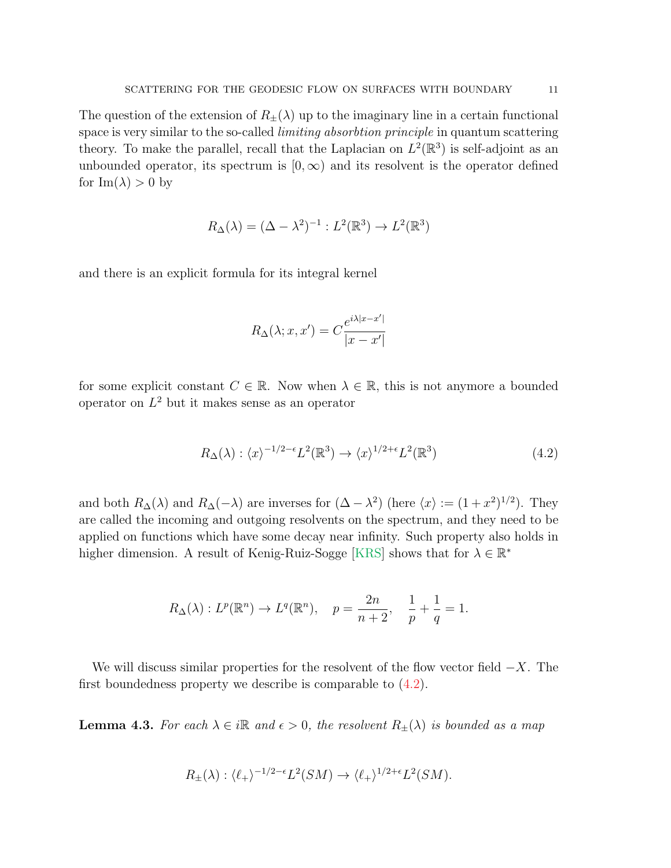The question of the extension of  $R_{\pm}(\lambda)$  up to the imaginary line in a certain functional space is very similar to the so-called limiting absorbtion principle in quantum scattering theory. To make the parallel, recall that the Laplacian on  $L^2(\mathbb{R}^3)$  is self-adjoint as an unbounded operator, its spectrum is  $[0, \infty)$  and its resolvent is the operator defined for  $\text{Im}(\lambda) > 0$  by

$$
R_{\Delta}(\lambda) = (\Delta - \lambda^2)^{-1} : L^2(\mathbb{R}^3) \to L^2(\mathbb{R}^3)
$$

and there is an explicit formula for its integral kernel

$$
R_{\Delta}(\lambda; x, x') = C \frac{e^{i\lambda|x-x'|}}{|x-x'|}
$$

for some explicit constant  $C \in \mathbb{R}$ . Now when  $\lambda \in \mathbb{R}$ , this is not anymore a bounded operator on  $L^2$  but it makes sense as an operator

<span id="page-10-0"></span>
$$
R_{\Delta}(\lambda) : \langle x \rangle^{-1/2 - \epsilon} L^2(\mathbb{R}^3) \to \langle x \rangle^{1/2 + \epsilon} L^2(\mathbb{R}^3)
$$
\n(4.2)

and both  $R_{\Delta}(\lambda)$  and  $R_{\Delta}(-\lambda)$  are inverses for  $(\Delta - \lambda^2)$  (here  $\langle x \rangle := (1 + x^2)^{1/2}$ ). They are called the incoming and outgoing resolvents on the spectrum, and they need to be applied on functions which have some decay near infinity. Such property also holds in higher dimension. A result of Kenig-Ruiz-Sogge [\[KRS\]](#page-19-3) shows that for  $\lambda \in \mathbb{R}^*$ 

$$
R_{\Delta}(\lambda) : L^p(\mathbb{R}^n) \to L^q(\mathbb{R}^n), \quad p = \frac{2n}{n+2}, \quad \frac{1}{p} + \frac{1}{q} = 1.
$$

We will discuss similar properties for the resolvent of the flow vector field  $-X$ . The first boundedness property we describe is comparable to [\(4.2\)](#page-10-0).

**Lemma 4.3.** For each  $\lambda \in i\mathbb{R}$  and  $\epsilon > 0$ , the resolvent  $R_{\pm}(\lambda)$  is bounded as a map

$$
R_{\pm}(\lambda) : \langle \ell_+ \rangle^{-1/2 - \epsilon} L^2(SM) \to \langle \ell_+ \rangle^{1/2 + \epsilon} L^2(SM).
$$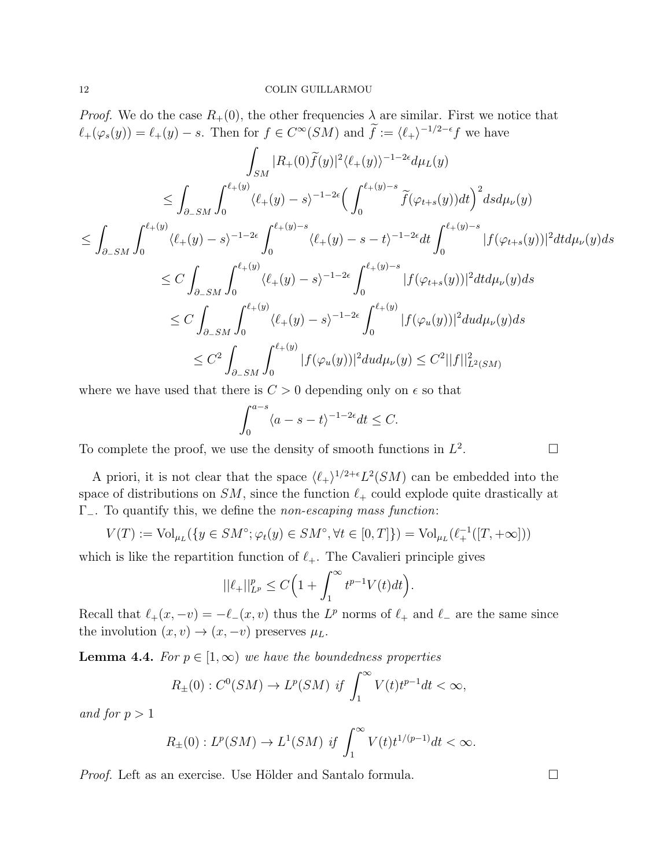*Proof.* We do the case  $R_+(0)$ , the other frequencies  $\lambda$  are similar. First we notice that  $\ell_+(\varphi_s(y)) = \ell_+(y) - s$ . Then for  $f \in C^{\infty}(SM)$  and  $\tilde{f} := \langle \ell_+ \rangle^{-1/2-\epsilon} f$  we have

$$
\int_{SM} |R_{+}(0)\tilde{f}(y)|^{2} \langle \ell_{+}(y) \rangle^{-1-2\epsilon} d\mu_{L}(y)
$$
\n
$$
\leq \int_{\partial_{-}SM} \int_{0}^{\ell_{+}(y)} \langle \ell_{+}(y) - s \rangle^{-1-2\epsilon} \Big( \int_{0}^{\ell_{+}(y)-s} \tilde{f}(\varphi_{t+s}(y)) dt \Big)^{2} ds d\mu_{\nu}(y)
$$
\n
$$
\leq \int_{\partial_{-}SM} \int_{0}^{\ell_{+}(y)} \langle \ell_{+}(y) - s \rangle^{-1-2\epsilon} \int_{0}^{\ell_{+}(y)-s} \langle \ell_{+}(y) - s - t \rangle^{-1-2\epsilon} dt \int_{0}^{\ell_{+}(y)-s} |f(\varphi_{t+s}(y))|^{2} dt d\mu_{\nu}(y) ds
$$
\n
$$
\leq C \int_{\partial_{-}SM} \int_{0}^{\ell_{+}(y)} \langle \ell_{+}(y) - s \rangle^{-1-2\epsilon} \int_{0}^{\ell_{+}(y)-s} |f(\varphi_{t+s}(y))|^{2} dt d\mu_{\nu}(y) ds
$$
\n
$$
\leq C \int_{\partial_{-}SM} \int_{0}^{\ell_{+}(y)} \langle \ell_{+}(y) - s \rangle^{-1-2\epsilon} \int_{0}^{\ell_{+}(y)} |f(\varphi_{u}(y))|^{2} du d\mu_{\nu}(y) ds
$$
\n
$$
\leq C^{2} \int_{\partial_{-}SM} \int_{0}^{\ell_{+}(y)} |f(\varphi_{u}(y))|^{2} du d\mu_{\nu}(y) \leq C^{2} ||f||_{L^{2}(SM)}^{2}
$$

where we have used that there is  $C > 0$  depending only on  $\epsilon$  so that

$$
\int_0^{a-s} \langle a - s - t \rangle^{-1 - 2\epsilon} dt \le C.
$$

To complete the proof, we use the density of smooth functions in  $L^2$ . — Профессор — Профессор — Профессор — Профессор — Профессор — Профессор — Профессор — Профессор — Профессор <br>В профессор — Профессор — Профессор — Профессор — Профессор — Профессор — Профессор — Профессор — Профессор —

A priori, it is not clear that the space  $\langle \ell_+ \rangle^{1/2+\epsilon} L^2(SM)$  can be embedded into the space of distributions on SM, since the function  $\ell_+$  could explode quite drastically at Γ−. To quantify this, we define the non-escaping mass function:

$$
V(T) := \text{Vol}_{\mu_L}(\{y \in SM^\circ; \varphi_t(y) \in SM^\circ, \forall t \in [0, T]\}) = \text{Vol}_{\mu_L}(\ell_+^{-1}([T, +\infty]))
$$

which is like the repartition function of  $\ell_+$ . The Cavalieri principle gives

$$
||\ell_+||_{L^p}^p \le C\Big(1 + \int_1^\infty t^{p-1} V(t) dt\Big).
$$

Recall that  $\ell_+(x, -v) = -\ell_-(x, v)$  thus the L<sup>p</sup> norms of  $\ell_+$  and  $\ell_-$  are the same since the involution  $(x, v) \rightarrow (x, -v)$  preserves  $\mu_L$ .

**Lemma 4.4.** For  $p \in [1,\infty)$  we have the boundedness properties

$$
R_{\pm}(0): C^{0}(SM) \to L^{p}(SM) \text{ if } \int_{1}^{\infty} V(t)t^{p-1}dt < \infty,
$$

and for  $p > 1$ 

$$
R_{\pm}(0): L^p(SM) \to L^1(SM)
$$
 if  $\int_1^{\infty} V(t)t^{1/(p-1)}dt < \infty$ .

*Proof.* Left as an exercise. Use Hölder and Santalo formula.  $\Box$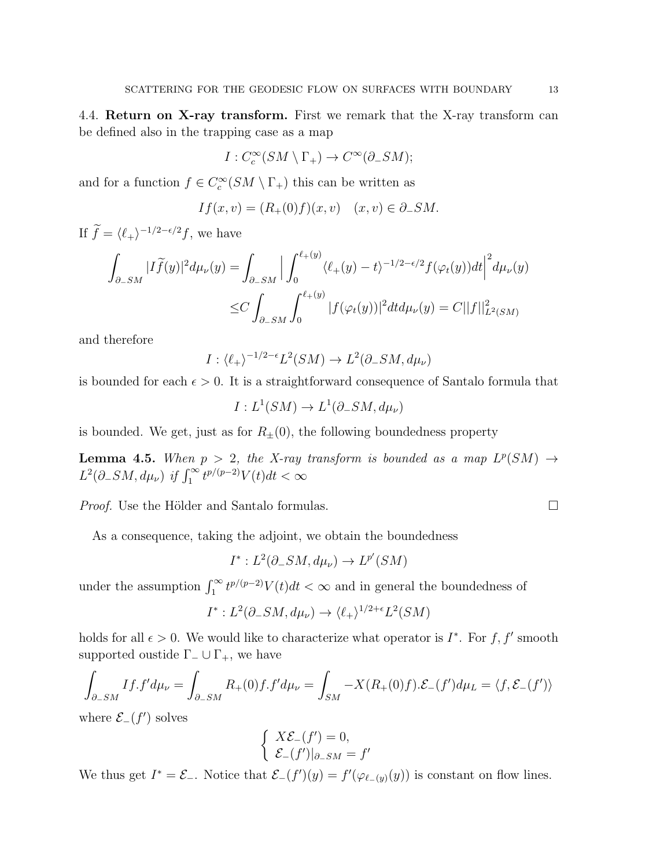4.4. Return on X-ray transform. First we remark that the X-ray transform can be defined also in the trapping case as a map

$$
I: C_c^{\infty}(SM \setminus \Gamma_+) \to C^{\infty}(\partial_- SM);
$$

and for a function  $f \in C_c^{\infty}(SM \setminus \Gamma_+)$  this can be written as

$$
If(x, v) = (R_+(0)f)(x, v) \quad (x, v) \in \partial_-SM.
$$

If  $\widetilde{f} = \langle \ell_+ \rangle^{-1/2 - \epsilon/2} f$ , we have

$$
\int_{\partial_-SM} |I\widetilde{f}(y)|^2 d\mu_\nu(y) = \int_{\partial_-SM} \Big| \int_0^{\ell_+(y)} \langle \ell_+(y) - t \rangle^{-1/2 - \epsilon/2} f(\varphi_t(y)) dt \Big|^2 d\mu_\nu(y)
$$
  

$$
\leq C \int_{\partial_-SM} \int_0^{\ell_+(y)} |f(\varphi_t(y))|^2 dt d\mu_\nu(y) = C ||f||^2_{L^2(SM)}
$$

and therefore

$$
I: \langle \ell_+ \rangle^{-1/2 - \epsilon} L^2(SM) \to L^2(\partial_- SM, d\mu_\nu)
$$

is bounded for each  $\epsilon > 0$ . It is a straightforward consequence of Santalo formula that

$$
I:L^1(SM)\to L^1(\partial_-SM,d\mu_\nu)
$$

is bounded. We get, just as for  $R_{\pm}(0)$ , the following boundedness property

<span id="page-12-0"></span>**Lemma 4.5.** When  $p > 2$ , the X-ray transform is bounded as a map  $L^p(SM) \to$  $L^2(\partial_- SM, d\mu_\nu)$  if  $\int_1^\infty t^{p/(p-2)} V(t) dt < \infty$ 

*Proof.* Use the Hölder and Santalo formulas.  $\Box$ 

As a consequence, taking the adjoint, we obtain the boundedness

$$
I^*: L^2(\partial_-SM, d\mu_\nu) \to L^{p'}(SM)
$$

under the assumption  $\int_1^{\infty} t^{p/(p-2)} V(t) dt < \infty$  and in general the boundedness of

$$
I^*: L^2(\partial_-SM, d\mu_\nu) \to \langle \ell_+ \rangle^{1/2+\epsilon} L^2(SM)
$$

holds for all  $\epsilon > 0$ . We would like to characterize what operator is  $I^*$ . For f, f' smooth supported oustide  $\Gamma_-\cup\Gamma_+$ , we have

$$
\int_{\partial_-SM} I f . f' d\mu_\nu = \int_{\partial_-SM} R_+(0) f . f' d\mu_\nu = \int_{SM} -X(R_+(0) f ). \mathcal{E}_-(f') d\mu_L = \langle f , \mathcal{E}_-(f') \rangle
$$

where  $\mathcal{E}$ - $(f')$  solves

$$
\begin{cases}\nX\mathcal{E}_{-}(f') = 0, \\
\mathcal{E}_{-}(f')|_{\partial_{-}SM} = f'\n\end{cases}
$$

We thus get  $I^* = \mathcal{E}_-$ . Notice that  $\mathcal{E}_-(f')(y) = f'(\varphi_{\ell-(y)}(y))$  is constant on flow lines.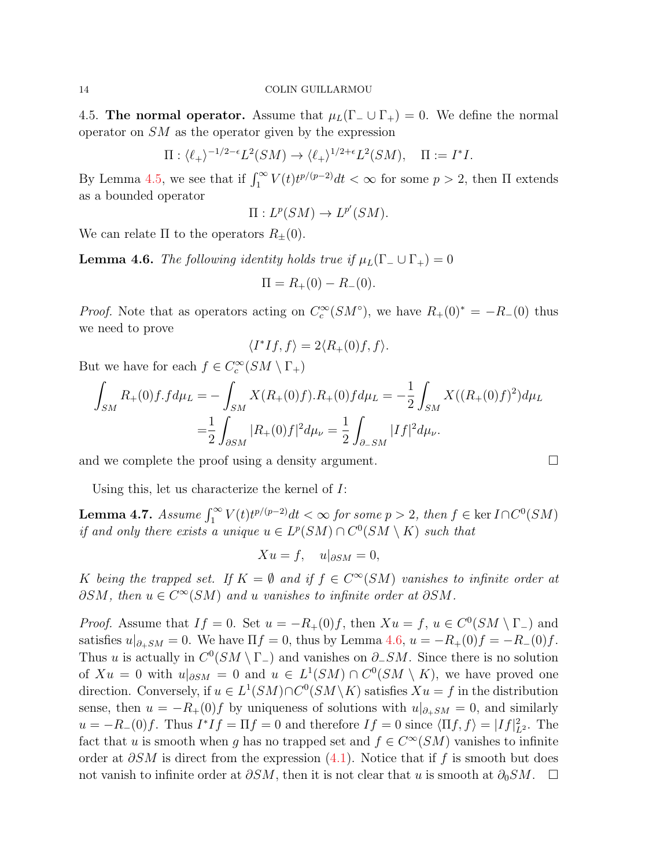4.5. The normal operator. Assume that  $\mu_L(\Gamma_-\cup\Gamma_+) = 0$ . We define the normal operator on SM as the operator given by the expression

$$
\Pi: \langle \ell_+ \rangle^{-1/2 - \epsilon} L^2(SM) \to \langle \ell_+ \rangle^{1/2 + \epsilon} L^2(SM), \quad \Pi := I^*I.
$$

By Lemma [4.5,](#page-12-0) we see that if  $\int_1^{\infty} V(t)t^{p/(p-2)}dt < \infty$  for some  $p > 2$ , then  $\Pi$  extends as a bounded operator

$$
\Pi: L^p(SM) \to L^{p'}(SM).
$$

We can relate  $\Pi$  to the operators  $R_{\pm}(0)$ .

<span id="page-13-0"></span>**Lemma 4.6.** The following identity holds true if  $\mu_L(\Gamma_-\cup\Gamma_+) = 0$ 

$$
\Pi = R_{+}(0) - R_{-}(0).
$$

*Proof.* Note that as operators acting on  $C_c^{\infty}(SM^{\circ})$ , we have  $R_+(0)^* = -R_-(0)$  thus we need to prove

$$
\langle I^*If, f \rangle = 2 \langle R_+(0)f, f \rangle.
$$

But we have for each  $f \in C_c^{\infty}(SM \setminus \Gamma_+)$ 

$$
\int_{SM} R_{+}(0) f f d\mu_{L} = -\int_{SM} X(R_{+}(0) f). R_{+}(0) f d\mu_{L} = -\frac{1}{2} \int_{SM} X((R_{+}(0) f)^{2}) d\mu_{L}
$$

$$
= \frac{1}{2} \int_{\partial SM} |R_{+}(0) f|^{2} d\mu_{\nu} = \frac{1}{2} \int_{\partial_{-}SM} |I f|^{2} d\mu_{\nu}.
$$

and we complete the proof using a density argument.  $\Box$ 

Using this, let us characterize the kernel of I:

**Lemma 4.7.** Assume  $\int_1^{\infty} V(t)t^{p/(p-2)}dt < \infty$  for some  $p > 2$ , then  $f \in \text{ker } I \cap C^0(SM)$ if and only there exists a unique  $u \in L^p(SM) \cap C^0(SM \setminus K)$  such that

$$
Xu = f, \quad u|_{\partial SM} = 0,
$$

K being the trapped set. If  $K = \emptyset$  and if  $f \in C^{\infty}(SM)$  vanishes to infinite order at  $\partial SM$ , then  $u \in C^{\infty}(SM)$  and u vanishes to infinite order at  $\partial SM$ .

*Proof.* Assume that  $If = 0$ . Set  $u = -R_+(0)f$ , then  $Xu = f$ ,  $u \in C^0(SM \setminus \Gamma)$  and satisfies  $u|_{\partial_+SM} = 0$ . We have  $\Pi f = 0$ , thus by Lemma [4.6,](#page-13-0)  $u = -R_+(0)f = -R_-(0)f$ . Thus u is actually in  $C^0(SM \setminus \Gamma_-)$  and vanishes on  $\partial_-SM$ . Since there is no solution of  $Xu = 0$  with  $u|_{\partial SM} = 0$  and  $u \in L^1(SM) \cap C^0(SM \setminus K)$ , we have proved one direction. Conversely, if  $u \in L^1(SM) \cap C^0(SM \setminus K)$  satisfies  $Xu = f$  in the distribution sense, then  $u = -R_+(0)f$  by uniqueness of solutions with  $u|_{\partial_+SM} = 0$ , and similarly  $u = -R_{-}(0)f$ . Thus  $I^*If = \Pi f = 0$  and therefore  $If = 0$  since  $\langle \Pi f, f \rangle = |If|_{L^2}^2$ . The fact that u is smooth when g has no trapped set and  $f \in C^{\infty}(SM)$  vanishes to infinite order at  $\partial SM$  is direct from the expression [\(4.1\)](#page-8-0). Notice that if f is smooth but does not vanish to infinite order at  $\partial SM$ , then it is not clear that u is smooth at  $\partial_0 SM$ .  $\Box$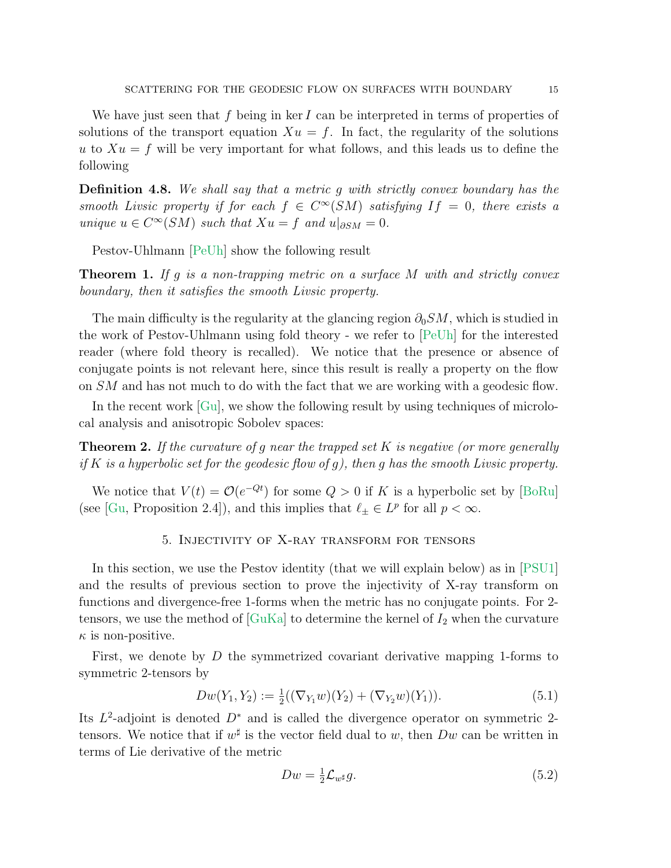We have just seen that f being in ker I can be interpreted in terms of properties of solutions of the transport equation  $Xu = f$ . In fact, the regularity of the solutions u to  $Xu = f$  will be very important for what follows, and this leads us to define the following

Definition 4.8. We shall say that a metric g with strictly convex boundary has the smooth Livsic property if for each  $f \in C^{\infty}(SM)$  satisfying  $If = 0$ , there exists a unique  $u \in C^{\infty}(SM)$  such that  $Xu = f$  and  $u|_{\partial SM} = 0$ .

Pestov-Uhlmann [\[PeUh\]](#page-20-1) show the following result

**Theorem 1.** If g is a non-trapping metric on a surface M with and strictly convex boundary, then it satisfies the smooth Livsic property.

The main difficulty is the regularity at the glancing region  $\partial_0 SM$ , which is studied in the work of Pestov-Uhlmann using fold theory - we refer to [\[PeUh\]](#page-20-1) for the interested reader (where fold theory is recalled). We notice that the presence or absence of conjugate points is not relevant here, since this result is really a property on the flow on SM and has not much to do with the fact that we are working with a geodesic flow.

In the recent work [\[Gu\]](#page-19-4), we show the following result by using techniques of microlocal analysis and anisotropic Sobolev spaces:

<span id="page-14-0"></span>**Theorem 2.** If the curvature of q near the trapped set K is negative (or more generally if K is a hyperbolic set for the geodesic flow of g), then g has the smooth Livsic property.

We notice that  $V(t) = \mathcal{O}(e^{-qt})$  for some  $Q > 0$  if K is a hyperbolic set by [\[BoRu\]](#page-19-5) (see [\[Gu,](#page-19-4) Proposition 2.4]), and this implies that  $\ell_{\pm} \in L^p$  for all  $p < \infty$ .

# 5. Injectivity of X-ray transform for tensors

In this section, we use the Pestov identity (that we will explain below) as in [\[PSU1\]](#page-19-6) and the results of previous section to prove the injectivity of X-ray transform on functions and divergence-free 1-forms when the metric has no conjugate points. For 2 tensors, we use the method of  $\lbrack \text{GuKa} \rbrack$  to determine the kernel of  $I_2$  when the curvature  $\kappa$  is non-positive.

First, we denote by  $D$  the symmetrized covariant derivative mapping 1-forms to symmetric 2-tensors by

<span id="page-14-1"></span>
$$
Dw(Y_1, Y_2) := \frac{1}{2}((\nabla_{Y_1} w)(Y_2) + (\nabla_{Y_2} w)(Y_1)).
$$
\n(5.1)

Its  $L^2$ -adjoint is denoted  $D^*$  and is called the divergence operator on symmetric 2tensors. We notice that if  $w^{\sharp}$  is the vector field dual to w, then  $Dw$  can be written in terms of Lie derivative of the metric

$$
Dw = \frac{1}{2} \mathcal{L}_{w^{\sharp}} g. \tag{5.2}
$$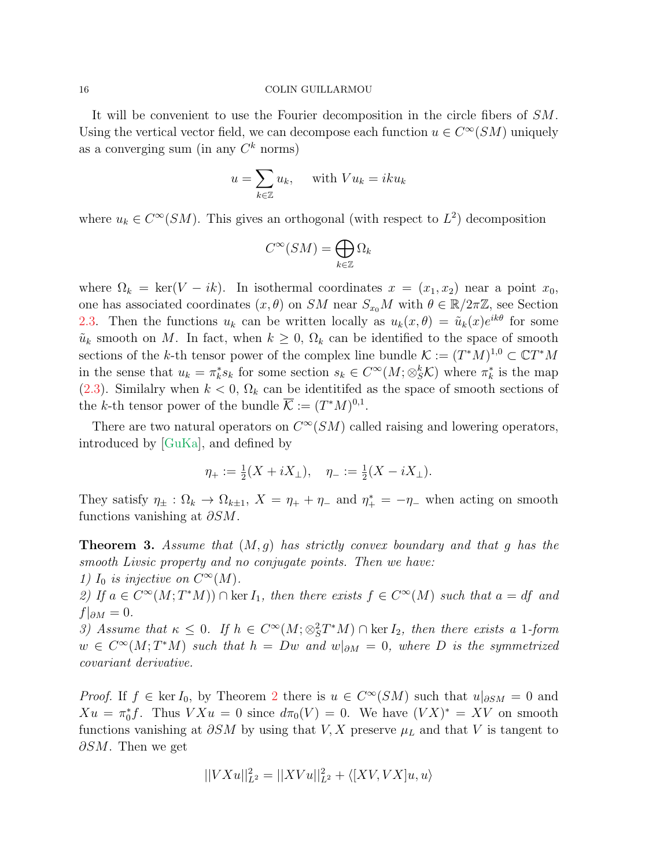It will be convenient to use the Fourier decomposition in the circle fibers of SM. Using the vertical vector field, we can decompose each function  $u \in C^{\infty}(SM)$  uniquely as a converging sum (in any  $C^k$  norms)

$$
u = \sum_{k \in \mathbb{Z}} u_k, \quad \text{ with } V u_k = i k u_k
$$

where  $u_k \in C^{\infty}(SM)$ . This gives an orthogonal (with respect to  $L^2$ ) decomposition

$$
C^\infty(SM)=\bigoplus_{k\in\mathbb{Z}}\Omega_k
$$

where  $\Omega_k = \text{ker}(V - ik)$ . In isothermal coordinates  $x = (x_1, x_2)$  near a point  $x_0$ , one has associated coordinates  $(x, \theta)$  on SM near  $S_{x_0}M$  with  $\theta \in \mathbb{R}/2\pi\mathbb{Z}$ , see Section [2.3.](#page-2-0) Then the functions  $u_k$  can be written locally as  $u_k(x, \theta) = \tilde{u}_k(x)e^{ik\theta}$  for some  $\tilde{u}_k$  smooth on M. In fact, when  $k \geq 0$ ,  $\Omega_k$  can be identified to the space of smooth sections of the k-th tensor power of the complex line bundle  $\mathcal{K} := (T^*M)^{1,0} \subset \mathbb{C}T^*M$ in the sense that  $u_k = \pi_k^* s_k$  for some section  $s_k \in C^\infty(M; \otimes_S^k \mathcal{K})$  where  $\pi_k^*$  is the map [\(2.3\)](#page-4-0). Similalry when  $k < 0$ ,  $\Omega_k$  can be identitifed as the space of smooth sections of the k-th tensor power of the bundle  $\overline{\mathcal{K}} := (T^*M)^{0,1}$ .

There are two natural operators on  $C^{\infty}(SM)$  called raising and lowering operators, introduced by [\[GuKa\]](#page-19-2), and defined by

$$
\eta_+ := \frac{1}{2}(X + iX_\perp), \quad \eta_- := \frac{1}{2}(X - iX_\perp).
$$

They satisfy  $\eta_{\pm} : \Omega_k \to \Omega_{k+1}$ ,  $X = \eta_+ + \eta_-$  and  $\eta_+^* = -\eta_-$  when acting on smooth functions vanishing at  $\partial SM$ .

<span id="page-15-0"></span>**Theorem 3.** Assume that  $(M, g)$  has strictly convex boundary and that g has the smooth Livsic property and no conjugate points. Then we have: 1)  $I_0$  is injective on  $C^{\infty}(M)$ . 2) If  $a \in C^{\infty}(M; T^{*}M)$   $\cap$  ker  $I_1$ , then there exists  $f \in C^{\infty}(M)$  such that  $a = df$  and  $f|_{\partial M}=0.$ 

3) Assume that  $\kappa \leq 0$ . If  $h \in C^{\infty}(M; \otimes_S^2 T^*M) \cap \text{ker } I_2$ , then there exists a 1-form  $w \in C^{\infty}(M; T^{*}M)$  such that  $h = Dw$  and  $w|_{\partial M} = 0$ , where D is the symmetrized covariant derivative.

*Proof.* If  $f \in \text{ker } I_0$ , by Theorem [2](#page-14-0) there is  $u \in C^\infty(SM)$  such that  $u|_{\partial SM} = 0$  and  $Xu = \pi_0^*f$ . Thus  $VXu = 0$  since  $d\pi_0(V) = 0$ . We have  $(VX)^* = XV$  on smooth functions vanishing at  $\partial SM$  by using that V, X preserve  $\mu_L$  and that V is tangent to  $\partial SM$ . Then we get

$$
||VXu||_{L^2}^2 = ||XVu||_{L^2}^2 + \langle [XV,VX]u,u\rangle
$$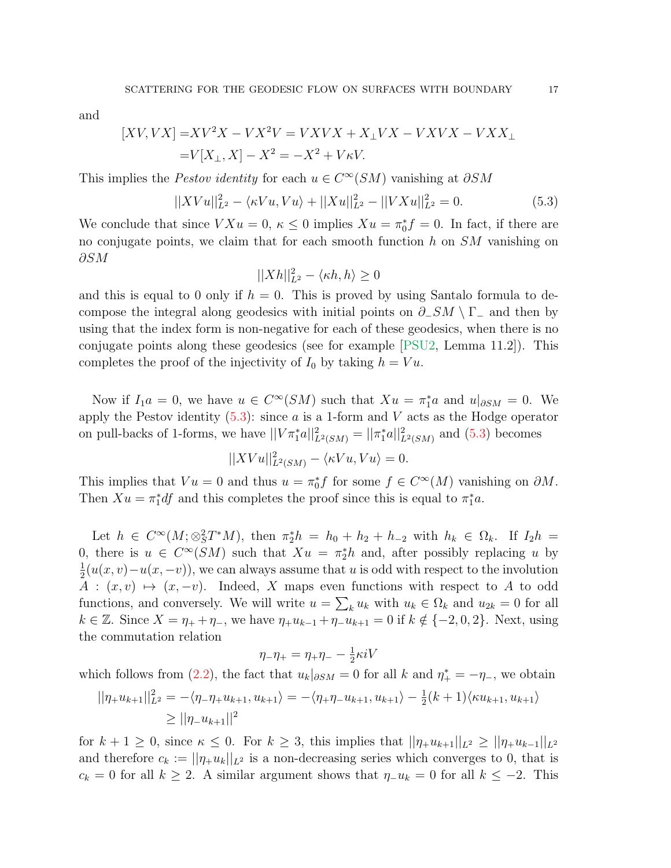and

$$
[XV, VX] = XV^2X - VX^2V = VXVX + X_{\perp}VX - VXVX - VXX_{\perp}
$$

$$
= V[X_{\perp}, X] - X^2 = -X^2 + V\kappa V.
$$

This implies the *Pestov identity* for each  $u \in C^{\infty}(SM)$  vanishing at  $\partial SM$ 

<span id="page-16-0"></span>
$$
||XVu||_{L^{2}}^{2} - \langle \kappa Vu, Vu \rangle + ||Xu||_{L^{2}}^{2} - ||VXu||_{L^{2}}^{2} = 0.
$$
\n(5.3)

We conclude that since  $V X u = 0, \, \kappa \leq 0$  implies  $X u = \pi_0^* f = 0$ . In fact, if there are no conjugate points, we claim that for each smooth function  $h$  on  $SM$  vanishing on ∂SM

$$
||Xh||_{L^2}^2 - \langle \kappa h, h \rangle \ge 0
$$

and this is equal to 0 only if  $h = 0$ . This is proved by using Santalo formula to decompose the integral along geodesics with initial points on  $\partial$ -SM \ Γ- and then by using that the index form is non-negative for each of these geodesics, when there is no conjugate points along these geodesics (see for example [\[PSU2,](#page-19-7) Lemma 11.2]). This completes the proof of the injectivity of  $I_0$  by taking  $h = Vu$ .

Now if  $I_1a = 0$ , we have  $u \in C^{\infty}(SM)$  such that  $Xu = \pi_1^*a$  and  $u|_{\partial SM} = 0$ . We apply the Pestov identity  $(5.3)$ : since a is a 1-form and V acts as the Hodge operator on pull-backs of 1-forms, we have  $||V\pi_1^* a||^2_{L^2(SM)} = ||\pi_1^* a||^2_{L^2(SM)}$  and [\(5.3\)](#page-16-0) becomes

$$
||XVu||_{L^2(SM)}^2 - \langle \kappa Vu, Vu \rangle = 0.
$$

This implies that  $Vu = 0$  and thus  $u = \pi_0^* f$  for some  $f \in C^{\infty}(M)$  vanishing on  $\partial M$ . Then  $Xu = \pi_1^* df$  and this completes the proof since this is equal to  $\pi_1^* a$ .

Let  $h \in C^{\infty}(M; \otimes_S^2 T^*M)$ , then  $\pi_2^* h = h_0 + h_2 + h_{-2}$  with  $h_k \in \Omega_k$ . If  $I_2 h =$ 0, there is  $u \in C^{\infty}(SM)$  such that  $Xu = \pi_2^*h$  and, after possibly replacing u by 1  $\frac{1}{2}(u(x,v)-u(x,-v))$ , we can always assume that u is odd with respect to the involution  $A : (x, v) \mapsto (x, -v)$ . Indeed, X maps even functions with respect to A to odd functions, and conversely. We will write  $u = \sum_k u_k$  with  $u_k \in \Omega_k$  and  $u_{2k} = 0$  for all  $k \in \mathbb{Z}$ . Since  $X = \eta_+ + \eta_-,$  we have  $\eta_+ u_{k-1} + \eta_- u_{k+1} = 0$  if  $k \notin \{-2, 0, 2\}.$  Next, using the commutation relation

$$
\eta_{-}\eta_{+}=\eta_{+}\eta_{-}-\tfrac{1}{2}\kappa iV
$$

which follows from [\(2.2\)](#page-3-1), the fact that  $u_k|_{\partial SM} = 0$  for all k and  $\eta^*$  =  $-\eta^-$ , we obtain

$$
||\eta_+ u_{k+1}||_{L^2}^2 = -\langle \eta_- \eta_+ u_{k+1}, u_{k+1} \rangle = -\langle \eta_+ \eta_- u_{k+1}, u_{k+1} \rangle - \frac{1}{2}(k+1)\langle \kappa u_{k+1}, u_{k+1} \rangle
$$
  
\n
$$
\ge ||\eta_- u_{k+1}||^2
$$

for  $k + 1 \ge 0$ , since  $\kappa \le 0$ . For  $k \ge 3$ , this implies that  $||\eta_+ u_{k+1}||_{L^2} \ge ||\eta_+ u_{k-1}||_{L^2}$ and therefore  $c_k := ||\eta_+ u_k||_{L^2}$  is a non-decreasing series which converges to 0, that is  $c_k = 0$  for all  $k \geq 2$ . A similar argument shows that  $\eta_{-}u_k = 0$  for all  $k \leq -2$ . This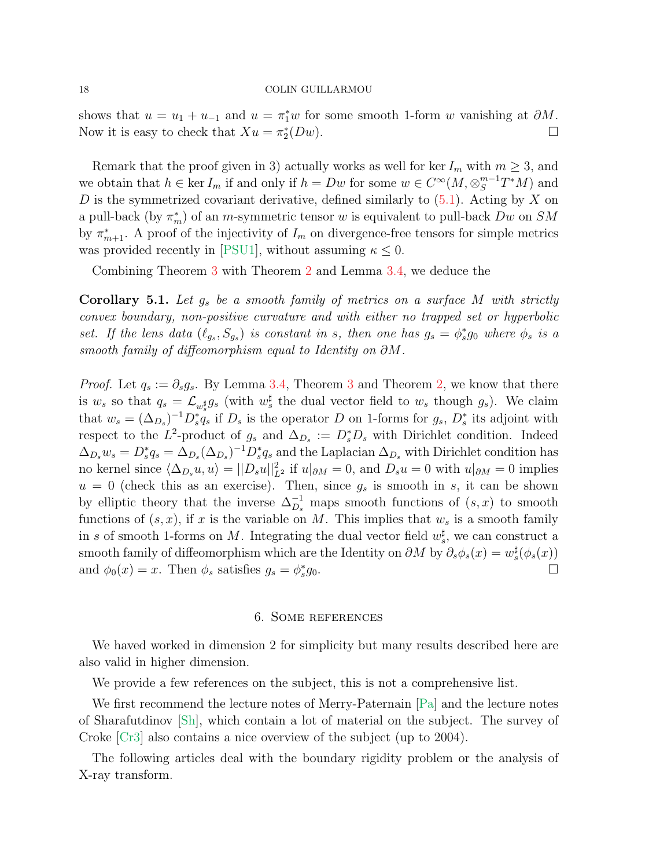shows that  $u = u_1 + u_{-1}$  and  $u = \pi_1^* w$  for some smooth 1-form w vanishing at  $\partial M$ . Now it is easy to check that  $Xu = \pi_2^*$  $(Dw).$ 

Remark that the proof given in 3) actually works as well for ker  $I_m$  with  $m \geq 3$ , and we obtain that  $h \in \text{ker } I_m$  if and only if  $h = Dw$  for some  $w \in C^{\infty}(M, \otimes_S^{m-1}T^*M)$  and D is the symmetrized covariant derivative, defined similarly to  $(5.1)$ . Acting by X on a pull-back (by  $\pi_m^*$ ) of an *m*-symmetric tensor w is equivalent to pull-back  $Dw$  on  $SM$ by  $\pi_{m+1}^*$ . A proof of the injectivity of  $I_m$  on divergence-free tensors for simple metrics was provided recently in [\[PSU1\]](#page-19-6), without assuming  $\kappa \leq 0$ .

Combining Theorem [3](#page-15-0) with Theorem [2](#page-14-0) and Lemma [3.4,](#page-6-0) we deduce the

**Corollary 5.1.** Let  $g_s$  be a smooth family of metrics on a surface M with strictly convex boundary, non-positive curvature and with either no trapped set or hyperbolic set. If the lens data  $(\ell_{g_s}, S_{g_s})$  is constant in s, then one has  $g_s = \phi_s^* g_0$  where  $\phi_s$  is a smooth family of diffeomorphism equal to Identity on  $\partial M$ .

*Proof.* Let  $q_s := \partial_s g_s$ . By Lemma [3.4,](#page-6-0) Theorem [3](#page-15-0) and Theorem [2,](#page-14-0) we know that there is  $w_s$  so that  $q_s = \mathcal{L}_{w_s^{\sharp}} g_s$  (with  $w_s^{\sharp}$  the dual vector field to  $w_s$  though  $g_s$ ). We claim that  $w_s = (\Delta_{D_s})^{-1} D_s^* q_s$  if  $D_s$  is the operator D on 1-forms for  $g_s$ ,  $D_s^*$  its adjoint with respect to the L<sup>2</sup>-product of  $g_s$  and  $\Delta_{D_s} := D_s^* D_s$  with Dirichlet condition. Indeed  $\Delta_{D_s} w_s = D_s^* q_s = \Delta_{D_s} (\Delta_{D_s})^{-1} D_s^* q_s$  and the Laplacian  $\Delta_{D_s}$  with Dirichlet condition has no kernel since  $\langle \Delta_{D_s} u, u \rangle = ||D_s u||_{L^2}^2$  if  $u|_{\partial M} = 0$ , and  $D_s u = 0$  with  $u|_{\partial M} = 0$  implies  $u = 0$  (check this as an exercise). Then, since  $g_s$  is smooth in s, it can be shown by elliptic theory that the inverse  $\Delta_{D_s}^{-1}$  maps smooth functions of  $(s, x)$  to smooth functions of  $(s, x)$ , if x is the variable on M. This implies that  $w_s$  is a smooth family in s of smooth 1-forms on M. Integrating the dual vector field  $w_s^{\sharp}$ , we can construct a smooth family of diffeomorphism which are the Identity on  $\partial M$  by  $\partial_s \phi_s(x) = w_s^{\sharp}(\phi_s(x))$ and  $\phi_0(x) = x$ . Then  $\phi_s$  satisfies  $g_s = \phi_s^*$  $g_0$ .

## 6. Some references

We haved worked in dimension 2 for simplicity but many results described here are also valid in higher dimension.

We provide a few references on the subject, this is not a comprehensive list.

We first recommend the lecture notes of Merry-Paternain [\[Pa\]](#page-19-0) and the lecture notes of Sharafutdinov [\[Sh\]](#page-20-2), which contain a lot of material on the subject. The survey of Croke [\[Cr3\]](#page-19-8) also contains a nice overview of the subject (up to 2004).

The following articles deal with the boundary rigidity problem or the analysis of X-ray transform.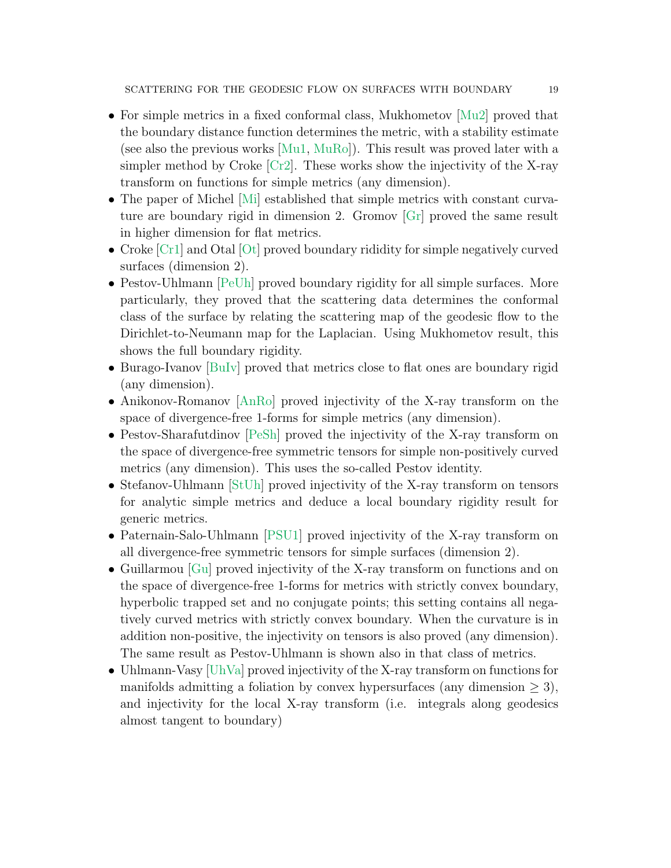- For simple metrics in a fixed conformal class, Mukhometov [\[Mu2\]](#page-19-9) proved that the boundary distance function determines the metric, with a stability estimate (see also the previous works  $[Mu1, MuRo]$  $[Mu1, MuRo]$ ). This result was proved later with a simpler method by Croke  $\lbrack Cr2\rbrack$ . These works show the injectivity of the X-ray transform on functions for simple metrics (any dimension).
- The paper of Michel [\[Mi\]](#page-19-1) established that simple metrics with constant curvature are boundary rigid in dimension 2. Gromov [\[Gr\]](#page-19-13) proved the same result in higher dimension for flat metrics.
- Croke [\[Cr1\]](#page-19-14) and Otal [\[Ot\]](#page-19-15) proved boundary rididity for simple negatively curved surfaces (dimension 2).
- Pestov-Uhlmann [\[PeUh\]](#page-20-1) proved boundary rigidity for all simple surfaces. More particularly, they proved that the scattering data determines the conformal class of the surface by relating the scattering map of the geodesic flow to the Dirichlet-to-Neumann map for the Laplacian. Using Mukhometov result, this shows the full boundary rigidity.
- Burago-Ivanov [\[BuIv\]](#page-19-16) proved that metrics close to flat ones are boundary rigid (any dimension).
- Anikonov-Romanov [\[AnRo\]](#page-19-17) proved injectivity of the X-ray transform on the space of divergence-free 1-forms for simple metrics (any dimension).
- Pestov-Sharafutdinov [\[PeSh\]](#page-19-18) proved the injectivity of the X-ray transform on the space of divergence-free symmetric tensors for simple non-positively curved metrics (any dimension). This uses the so-called Pestov identity.
- Stefanov-Uhlmann [\[StUh\]](#page-20-3) proved injectivity of the X-ray transform on tensors for analytic simple metrics and deduce a local boundary rigidity result for generic metrics.
- Paternain-Salo-Uhlmann [\[PSU1\]](#page-19-6) proved injectivity of the X-ray transform on all divergence-free symmetric tensors for simple surfaces (dimension 2).
- Guillarmou [\[Gu\]](#page-19-4) proved injectivity of the X-ray transform on functions and on the space of divergence-free 1-forms for metrics with strictly convex boundary, hyperbolic trapped set and no conjugate points; this setting contains all negatively curved metrics with strictly convex boundary. When the curvature is in addition non-positive, the injectivity on tensors is also proved (any dimension). The same result as Pestov-Uhlmann is shown also in that class of metrics.
- Uhlmann-Vasy [\[UhVa\]](#page-20-4) proved injectivity of the X-ray transform on functions for manifolds admitting a foliation by convex hypersurfaces (any dimension  $\geq 3$ ), and injectivity for the local X-ray transform (i.e. integrals along geodesics almost tangent to boundary)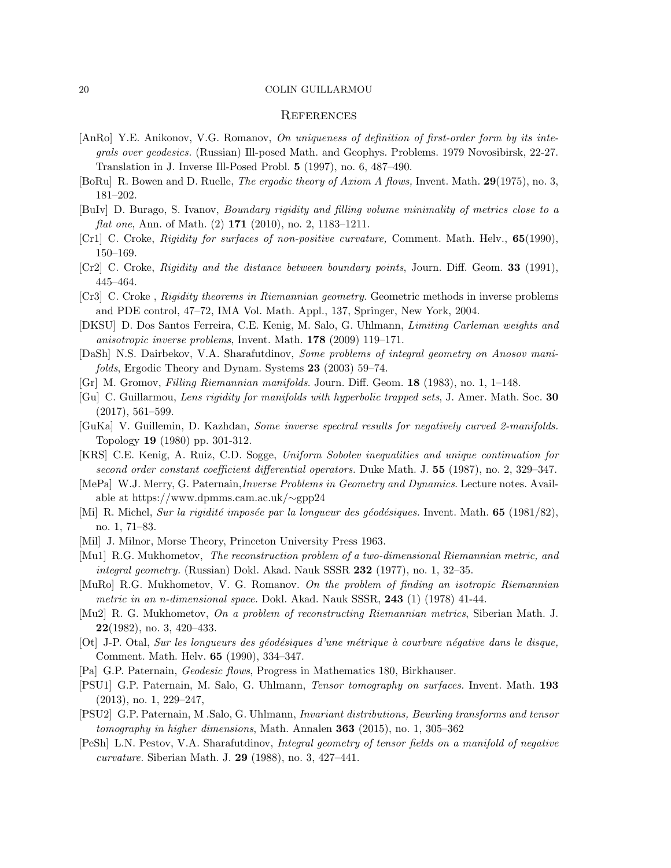### **REFERENCES**

- <span id="page-19-17"></span>[AnRo] Y.E. Anikonov, V.G. Romanov, On uniqueness of definition of first-order form by its integrals over geodesics. (Russian) Ill-posed Math. and Geophys. Problems. 1979 Novosibirsk, 22-27. Translation in J. Inverse Ill-Posed Probl. 5 (1997), no. 6, 487–490.
- <span id="page-19-5"></span>[BoRu] R. Bowen and D. Ruelle, The ergodic theory of Axiom A flows, Invent. Math. 29(1975), no. 3, 181–202.
- <span id="page-19-16"></span>[BuIv] D. Burago, S. Ivanov, Boundary rigidity and filling volume minimality of metrics close to a flat one, Ann. of Math. (2) **171** (2010), no. 2, 1183-1211.
- <span id="page-19-14"></span>[Cr1] C. Croke, Rigidity for surfaces of non-positive curvature, Comment. Math. Helv., 65(1990), 150–169.
- <span id="page-19-12"></span>[Cr2] C. Croke, Rigidity and the distance between boundary points, Journ. Diff. Geom. 33 (1991), 445–464.
- <span id="page-19-8"></span>[Cr3] C. Croke , Rigidity theorems in Riemannian geometry. Geometric methods in inverse problems and PDE control, 47–72, IMA Vol. Math. Appl., 137, Springer, New York, 2004.
- [DKSU] D. Dos Santos Ferreira, C.E. Kenig, M. Salo, G. Uhlmann, Limiting Carleman weights and anisotropic inverse problems, Invent. Math. 178 (2009) 119–171.
- [DaSh] N.S. Dairbekov, V.A. Sharafutdinov, Some problems of integral geometry on Anosov manifolds, Ergodic Theory and Dynam. Systems 23 (2003) 59–74.
- <span id="page-19-13"></span>[Gr] M. Gromov, Filling Riemannian manifolds. Journ. Diff. Geom. 18 (1983), no. 1, 1–148.
- <span id="page-19-4"></span>[Gu] C. Guillarmou, Lens rigidity for manifolds with hyperbolic trapped sets, J. Amer. Math. Soc. 30 (2017), 561–599.
- <span id="page-19-2"></span>[GuKa] V. Guillemin, D. Kazhdan, Some inverse spectral results for negatively curved 2-manifolds. Topology 19 (1980) pp. 301-312.
- <span id="page-19-3"></span>[KRS] C.E. Kenig, A. Ruiz, C.D. Sogge, Uniform Sobolev inequalities and unique continuation for second order constant coefficient differential operators. Duke Math. J. 55 (1987), no. 2, 329–347.
- [MePa] W.J. Merry, G. Paternain,Inverse Problems in Geometry and Dynamics. Lecture notes. Available at https://www.dpmms.cam.ac.uk/∼gpp24
- <span id="page-19-1"></span>[Mi] R. Michel, Sur la rigidité imposée par la longueur des géodésiques. Invent. Math. 65 (1981/82), no. 1, 71–83.
- [Mil] J. Milnor, Morse Theory, Princeton University Press 1963.
- <span id="page-19-10"></span>[Mu1] R.G. Mukhometov, The reconstruction problem of a two-dimensional Riemannian metric, and integral geometry. (Russian) Dokl. Akad. Nauk SSSR  $232$  (1977), no. 1, 32–35.
- <span id="page-19-11"></span>[MuRo] R.G. Mukhometov, V. G. Romanov. On the problem of finding an isotropic Riemannian metric in an n-dimensional space. Dokl. Akad. Nauk SSSR, 243 (1) (1978) 41-44.
- <span id="page-19-9"></span>[Mu2] R. G. Mukhometov, On a problem of reconstructing Riemannian metrics, Siberian Math. J.  $22(1982)$ , no. 3, 420-433.
- <span id="page-19-15"></span>[Ot] J-P. Otal, Sur les longueurs des géodésiques d'une métrique à courbure négative dans le disque, Comment. Math. Helv. 65 (1990), 334–347.
- <span id="page-19-0"></span>[Pa] G.P. Paternain, Geodesic flows, Progress in Mathematics 180, Birkhauser.
- <span id="page-19-6"></span>[PSU1] G.P. Paternain, M. Salo, G. Uhlmann, Tensor tomography on surfaces. Invent. Math. 193 (2013), no. 1, 229–247,
- <span id="page-19-7"></span>[PSU2] G.P. Paternain, M .Salo, G. Uhlmann, Invariant distributions, Beurling transforms and tensor tomography in higher dimensions, Math. Annalen  $363$  (2015), no. 1, 305–362
- <span id="page-19-18"></span>[PeSh] L.N. Pestov, V.A. Sharafutdinov, Integral geometry of tensor fields on a manifold of negative curvature. Siberian Math. J. 29 (1988), no. 3, 427–441.